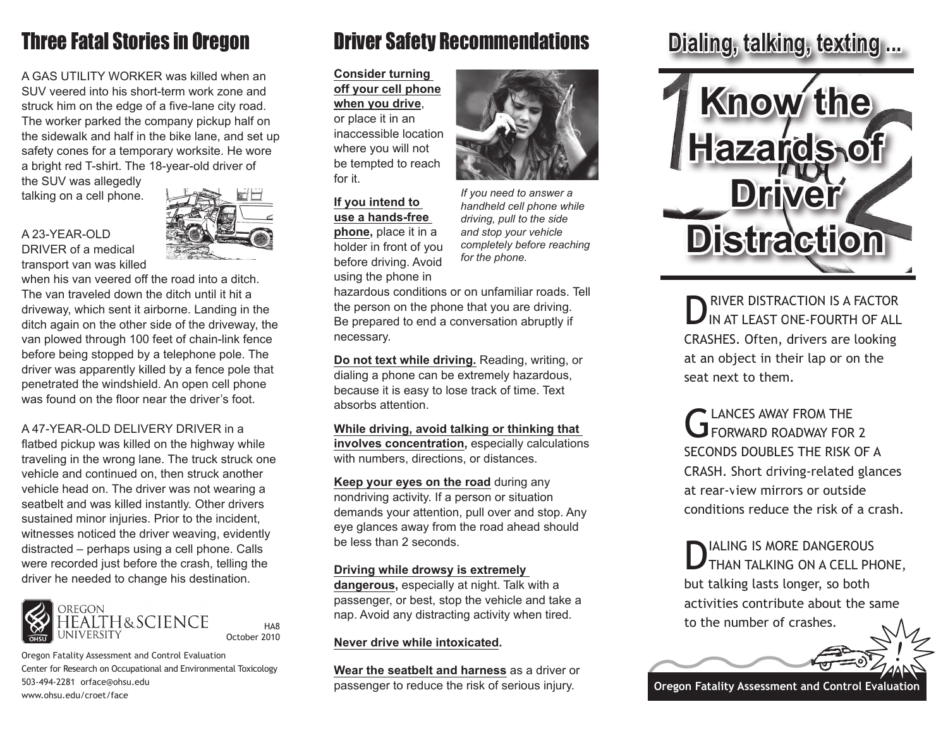# Three Fatal Stories in Oregon

A GAS UTILITY WORKER was killed when an SUV veered into his short-term work zone and struck him on the edge of a five-lane city road. The worker parked the company pickup half on the sidewalk and half in the bike lane, and set up safety cones for a temporary worksite. He wore a bright red T-shirt. The 18-year-old driver of

the SUV was allegedly talking on a cell phone.

### A 23-YEAR-OLD DRIVER of a medical transport van was killed



when his van veered off the road into a ditch. The van traveled down the ditch until it hit a driveway, which sent it airborne. Landing in the ditch again on the other side of the driveway, the van plowed through 100 feet of chain-link fence before being stopped by a telephone pole. The driver was apparently killed by a fence pole that penetrated the windshield. An open cell phone was found on the floor near the driver's foot.

## A 47-YEAR-OLD DELIVERY DRIVER in a

flatbed pickup was killed on the highway while traveling in the wrong lane. The truck struck one vehicle and continued on, then struck another vehicle head on. The driver was not wearing a seatbelt and was killed instantly. Other drivers sustained minor injuries. Prior to the incident, witnesses noticed the driver weaving, evidently distracted – perhaps using a cell phone. Calls were recorded just before the crash, telling the driver he needed to change his destination.



Oregon Fatality Assessment and Control Evaluation Center for Research on Occupational and Environmental Toxicology 503-494-2281 orface@ohsu.edu www.ohsu.edu/croet/face

HA8

# Driver Safety Recommendations **Dialing, talking, texting ...**

**Consider turning off your cell phone when you drive**, or place it in an inaccessible location where you will not be tempted to reach for it.

## **If you intend to use a hands-free phone,** place it in a holder in front of you before driving. Avoid using the phone in

*If you need to answer a handheld cell phone while driving, pull to the side and stop your vehicle completely before reaching for the phone.*

hazardous conditions or on unfamiliar roads. Tell the person on the phone that you are driving. Be prepared to end a conversation abruptly if necessary.

**Do not text while driving.** Reading, writing, or dialing a phone can be extremely hazardous, because it is easy to lose track of time. Text absorbs attention.

**While driving, avoid talking or thinking that involves concentration,** especially calculations with numbers, directions, or distances.

**Keep your eyes on the road** during any nondriving activity. If a person or situation demands your attention, pull over and stop. Any eye glances away from the road ahead should be less than 2 seconds.

### **Driving while drowsy is extremely**

**dangerous,** especially at night. Talk with a passenger, or best, stop the vehicle and take a nap. Avoid any distracting activity when tired.

## **Never drive while intoxicated.**

**Wear the seatbelt and harness** as a driver or passenger to reduce the risk of serious injury.



**DRIVER DISTRACTION IS A FACTOR**<br>IN AT LEAST ONE-FOURTH OF ALL CRASHES. Often, drivers are looking at an object in their lap or on the seat next to them.

G LANCES AWAY FROM THE FORWARD ROADWAY FOR 2 SECONDS DOUBLES THE RISK OF A CRASH. Short driving-related glances at rear-view mirrors or outside conditions reduce the risk of a crash.

DIALING IS MORE DANGEROUS<br>DTHAN TALKING ON A CELL PHONE, but talking lasts longer, so both activities contribute about the same to the number of crashes.